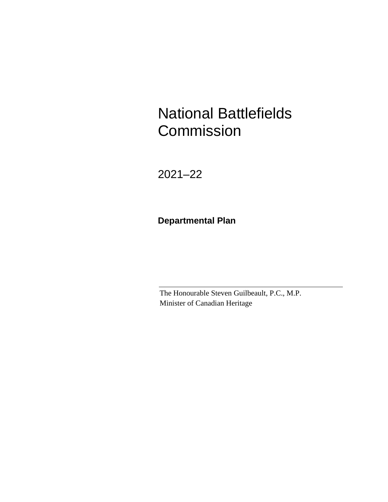National Battlefields **Commission** 

2021–22

**Departmental Plan**

The Honourable Steven Guilbeault, P.C., M.P. Minister of Canadian Heritage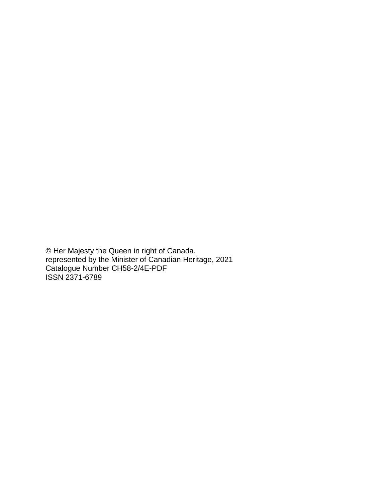© Her Majesty the Queen in right of Canada, represented by the Minister of Canadian Heritage, 2021 Catalogue Number CH58-2/4E-PDF ISSN 2371-6789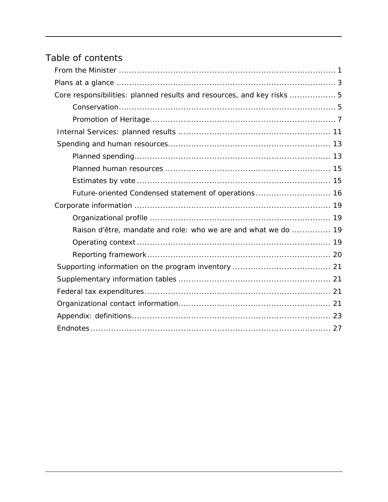# Table of contents

| Core responsibilities: planned results and resources, and key risks  5 |
|------------------------------------------------------------------------|
|                                                                        |
|                                                                        |
|                                                                        |
|                                                                        |
|                                                                        |
|                                                                        |
|                                                                        |
| Future-oriented Condensed statement of operations 16                   |
|                                                                        |
|                                                                        |
| Raison d'être, mandate and role: who we are and what we do  19         |
|                                                                        |
|                                                                        |
|                                                                        |
|                                                                        |
|                                                                        |
|                                                                        |
|                                                                        |
|                                                                        |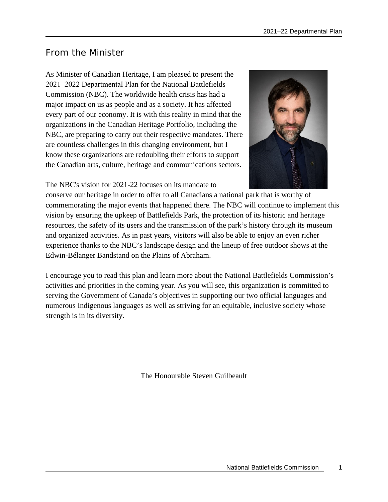# <span id="page-4-0"></span>From the Minister

As Minister of Canadian Heritage, I am pleased to present the 2021‒2022 Departmental Plan for the National Battlefields Commission (NBC). The worldwide health crisis has had a major impact on us as people and as a society. It has affected every part of our economy. It is with this reality in mind that the organizations in the Canadian Heritage Portfolio, including the NBC, are preparing to carry out their respective mandates. There are countless challenges in this changing environment, but I know these organizations are redoubling their efforts to support the Canadian arts, culture, heritage and communications sectors.



The NBC's vision for 2021-22 focuses on its mandate to

conserve our heritage in order to offer to all Canadians a national park that is worthy of commemorating the major events that happened there. The NBC will continue to implement this vision by ensuring the upkeep of Battlefields Park, the protection of its historic and heritage resources, the safety of its users and the transmission of the park's history through its museum and organized activities. As in past years, visitors will also be able to enjoy an even richer experience thanks to the NBC's landscape design and the lineup of free outdoor shows at the Edwin-Bélanger Bandstand on the Plains of Abraham.

I encourage you to read this plan and learn more about the National Battlefields Commission's activities and priorities in the coming year. As you will see, this organization is committed to serving the Government of Canada's objectives in supporting our two official languages and numerous Indigenous languages as well as striving for an equitable, inclusive society whose strength is in its diversity.

The Honourable Steven Guilbeault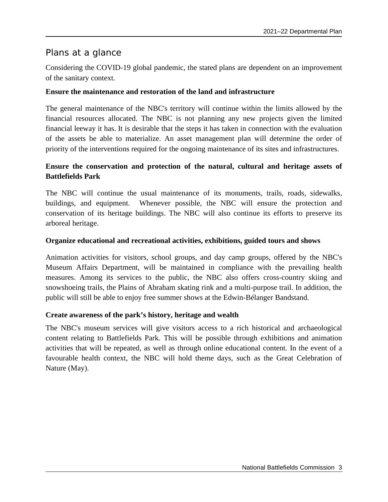# <span id="page-6-0"></span>Plans at a glance

Considering the COVID-19 global pandemic, the stated plans are dependent on an improvement of the sanitary context.

### **Ensure the maintenance and restoration of the land and infrastructure**

The general maintenance of the NBC's territory will continue within the limits allowed by the financial resources allocated. The NBC is not planning any new projects given the limited financial leeway it has. It is desirable that the steps it has taken in connection with the evaluation of the assets be able to materialize. An asset management plan will determine the order of priority of the interventions required for the ongoing maintenance of its sites and infrastructures.

### **Ensure the conservation and protection of the natural, cultural and heritage assets of Battlefields Park**

The NBC will continue the usual maintenance of its monuments, trails, roads, sidewalks, buildings, and equipment. Whenever possible, the NBC will ensure the protection and conservation of its heritage buildings. The NBC will also continue its efforts to preserve its arboreal heritage.

#### **Organize educational and recreational activities, exhibitions, guided tours and shows**

Animation activities for visitors, school groups, and day camp groups, offered by the NBC's Museum Affairs Department, will be maintained in compliance with the prevailing health measures. Among its services to the public, the NBC also offers cross-country skiing and snowshoeing trails, the Plains of Abraham skating rink and a multi-purpose trail. In addition, the public will still be able to enjoy free summer shows at the Edwin-Bélanger Bandstand.

### **Create awareness of the park's history, heritage and wealth**

The NBC's museum services will give visitors access to a rich historical and archaeological content relating to Battlefields Park. This will be possible through exhibitions and animation activities that will be repeated, as well as through online educational content. In the event of a favourable health context, the NBC will hold theme days, such as the Great Celebration of Nature (May).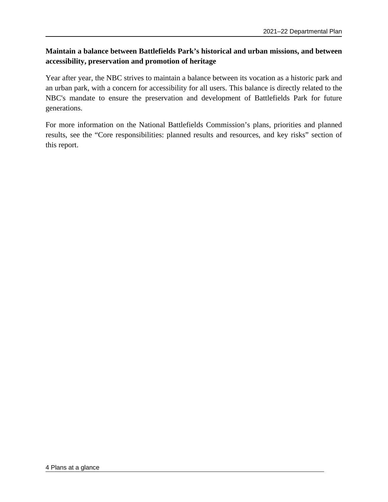## **Maintain a balance between Battlefields Park's historical and urban missions, and between accessibility, preservation and promotion of heritage**

Year after year, the NBC strives to maintain a balance between its vocation as a historic park and an urban park, with a concern for accessibility for all users. This balance is directly related to the NBC's mandate to ensure the preservation and development of Battlefields Park for future generations.

For more information on the National Battlefields Commission's plans, priorities and planned results, see the "Core responsibilities: planned results and resources, and key risks" section of this report.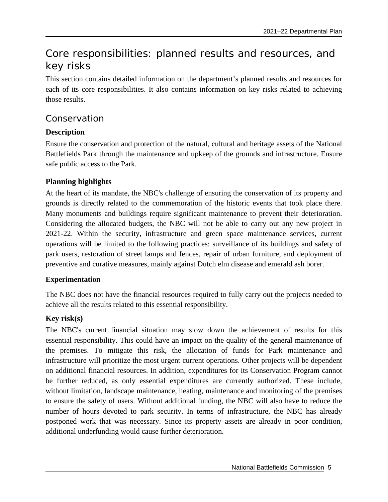# <span id="page-8-0"></span>Core responsibilities: planned results and resources, and key risks

This section contains detailed information on the department's planned results and resources for each of its core responsibilities. It also contains information on key risks related to achieving those results.

## <span id="page-8-1"></span>Conservation

### **Description**

Ensure the conservation and protection of the natural, cultural and heritage assets of the National Battlefields Park through the maintenance and upkeep of the grounds and infrastructure. Ensure safe public access to the Park.

### **Planning highlights**

At the heart of its mandate, the NBC's challenge of ensuring the conservation of its property and grounds is directly related to the commemoration of the historic events that took place there. Many monuments and buildings require significant maintenance to prevent their deterioration. Considering the allocated budgets, the NBC will not be able to carry out any new project in 2021-22. Within the security, infrastructure and green space maintenance services, current operations will be limited to the following practices: surveillance of its buildings and safety of park users, restoration of street lamps and fences, repair of urban furniture, and deployment of preventive and curative measures, mainly against Dutch elm disease and emerald ash borer.

### **Experimentation**

The NBC does not have the financial resources required to fully carry out the projects needed to achieve all the results related to this essential responsibility.

## **Key risk(s)**

The NBC's current financial situation may slow down the achievement of results for this essential responsibility. This could have an impact on the quality of the general maintenance of the premises. To mitigate this risk, the allocation of funds for Park maintenance and infrastructure will prioritize the most urgent current operations. Other projects will be dependent on additional financial resources. In addition, expenditures for its Conservation Program cannot be further reduced, as only essential expenditures are currently authorized. These include, without limitation, landscape maintenance, heating, maintenance and monitoring of the premises to ensure the safety of users. Without additional funding, the NBC will also have to reduce the number of hours devoted to park security. In terms of infrastructure, the NBC has already postponed work that was necessary. Since its property assets are already in poor condition, additional underfunding would cause further deterioration.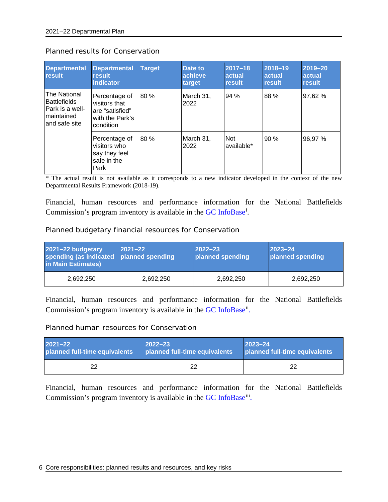| <b>Departmental</b><br>result                                                           | <b>Departmental</b><br>result<br>indicator                                        | <b>Target</b> | Date to<br>achieve<br>target | $2017 - 18$<br>actual<br>result | 2018-19<br>actual<br>result | 2019-20<br><b>actual</b><br>result |
|-----------------------------------------------------------------------------------------|-----------------------------------------------------------------------------------|---------------|------------------------------|---------------------------------|-----------------------------|------------------------------------|
| The National<br><b>Battlefields</b><br>Park is a well-<br>Imaintained<br>land safe site | Percentage of<br>visitors that<br>are "satisfied"<br>with the Park's<br>condition | 80 %          | March 31,<br>2022            | 94%                             | 88 %                        | 97,62 %                            |
|                                                                                         | Percentage of<br>visitors who<br>say they feel<br>safe in the<br>Park             | 80 %          | March 31,<br>2022            | <b>Not</b><br>available*        | 90 %                        | 96,97%                             |

#### Planned results for Conservation

\* The actual result is not available as it corresponds to a new indicator developed in the context of the new Departmental Results Framework (2018-19).

Financial, human resources and performance information for the National Battlefields Commission's program inventory is available in the [GC InfoBase](https://www.tbs-sct.gc.ca/ems-sgd/edb-bdd/index-eng.html)<sup>[i](#page-30-1)</sup>.

Planned budgetary financial resources for Conservation

| 2021-22 budgetary<br>spending (as indicated planned spending<br>in Main Estimates) | $ 2021 - 22 $ | $ 2022 - 23 $<br>planned spending | $2023 - 24$<br>planned spending |
|------------------------------------------------------------------------------------|---------------|-----------------------------------|---------------------------------|
| 2,692,250                                                                          | 2,692,250     | 2,692,250                         | 2,692,250                       |

Financial, human resources and performance information for the National Battlefields Commission's program inventory is available in the [GC InfoBase](https://www.tbs-sct.gc.ca/ems-sgd/edb-bdd/index-eng.html)<sup>ii</sup>.

#### Planned human resources for Conservation

| $2021 - 22$                   | $ 2022 - 23 $                 | $ 2023 - 24 $                 |
|-------------------------------|-------------------------------|-------------------------------|
| planned full-time equivalents | planned full-time equivalents | planned full-time equivalents |
| 22                            | つつ                            | 22                            |

Financial, human resources and performance information for the National Battlefields Commission's program inventory is available in the [GC](https://www.tbs-sct.gc.ca/ems-sgd/edb-bdd/index-eng.html) [InfoBase](https://www.tbs-sct.gc.ca/ems-sgd/edb-bdd/index-eng.html)<sup>iii</sup>.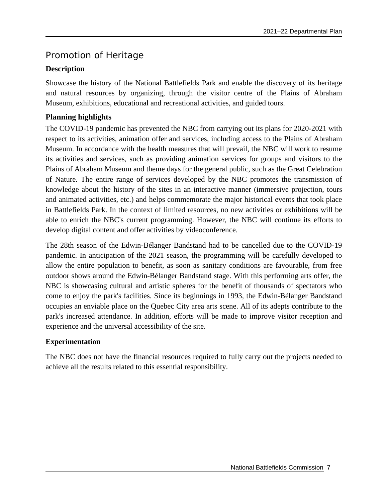# <span id="page-10-0"></span>Promotion of Heritage

## **Description**

Showcase the history of the National Battlefields Park and enable the discovery of its heritage and natural resources by organizing, through the visitor centre of the Plains of Abraham Museum, exhibitions, educational and recreational activities, and guided tours.

## **Planning highlights**

The COVID-19 pandemic has prevented the NBC from carrying out its plans for 2020-2021 with respect to its activities, animation offer and services, including access to the Plains of Abraham Museum. In accordance with the health measures that will prevail, the NBC will work to resume its activities and services, such as providing animation services for groups and visitors to the Plains of Abraham Museum and theme days for the general public, such as the Great Celebration of Nature. The entire range of services developed by the NBC promotes the transmission of knowledge about the history of the sites in an interactive manner (immersive projection, tours and animated activities, etc.) and helps commemorate the major historical events that took place in Battlefields Park. In the context of limited resources, no new activities or exhibitions will be able to enrich the NBC's current programming. However, the NBC will continue its efforts to develop digital content and offer activities by videoconference.

The 28th season of the Edwin-Bélanger Bandstand had to be cancelled due to the COVID-19 pandemic. In anticipation of the 2021 season, the programming will be carefully developed to allow the entire population to benefit, as soon as sanitary conditions are favourable, from free outdoor shows around the Edwin-Bélanger Bandstand stage. With this performing arts offer, the NBC is showcasing cultural and artistic spheres for the benefit of thousands of spectators who come to enjoy the park's facilities. Since its beginnings in 1993, the Edwin-Bélanger Bandstand occupies an enviable place on the Quebec City area arts scene. All of its adepts contribute to the park's increased attendance. In addition, efforts will be made to improve visitor reception and experience and the universal accessibility of the site.

### **Experimentation**

The NBC does not have the financial resources required to fully carry out the projects needed to achieve all the results related to this essential responsibility.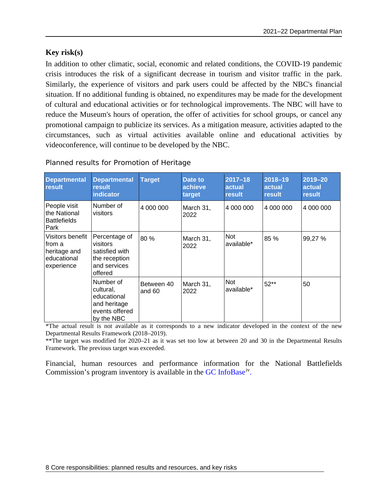### **Key risk(s)**

In addition to other climatic, social, economic and related conditions, the COVID-19 pandemic crisis introduces the risk of a significant decrease in tourism and visitor traffic in the park. Similarly, the experience of visitors and park users could be affected by the NBC's financial situation. If no additional funding is obtained, no expenditures may be made for the development of cultural and educational activities or for technological improvements. The NBC will have to reduce the Museum's hours of operation, the offer of activities for school groups, or cancel any promotional campaign to publicize its services. As a mitigation measure, activities adapted to the circumstances, such as virtual activities available online and educational activities by videoconference, will continue to be developed by the NBC.

| <b>Departmental</b><br>result                                           | <b>Departmental</b><br>result<br>indicator                                              | <b>Target</b>        | Date to<br>achieve<br>target | $2017 - 18$<br>actual<br>result | 2018-19<br>actual<br>result | 2019-20<br>actual<br>result |
|-------------------------------------------------------------------------|-----------------------------------------------------------------------------------------|----------------------|------------------------------|---------------------------------|-----------------------------|-----------------------------|
| People visit<br>the National<br><b>Battlefields</b><br>Park             | Number of<br>visitors                                                                   | 4 000 000            | March 31,<br>2022            | 4 000 000                       | 4 000 000                   | 4 000 000                   |
| Visitors benefit<br>from a<br>heritage and<br>educational<br>experience | Percentage of<br>visitors<br>satisfied with<br>the reception<br>and services<br>offered | 80 %                 | March 31,<br>2022            | <b>Not</b><br>available*        | 85 %                        | 99,27 %                     |
|                                                                         | Number of<br>cultural,<br>educational<br>and heritage<br>events offered<br>by the NBC   | Between 40<br>and 60 | March 31,<br>2022            | <b>Not</b><br>available*        | 52**                        | 50                          |

Planned results for Promotion of Heritage

\*The actual result is not available as it corresponds to a new indicator developed in the context of the new Departmental Results Framework (2018–2019).

\*\*The target was modified for 2020–21 as it was set too low at between 20 and 30 in the Departmental Results Framework. The previous target was exceeded.

Financial, human resources and performance information for the National Battlefields Commission's program inventory is available in the [GC InfoBase](https://www.tbs-sct.gc.ca/ems-sgd/edb-bdd/index-eng.html)<sup>[iv](#page-30-4)</sup>.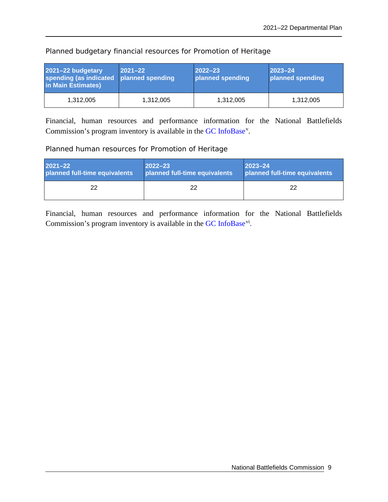| 2021-22 budgetary<br>spending (as indicated<br>in Main Estimates) | $ 2021 - 22 $<br>planned spending | $ 2022 - 23 $<br>planned spending | $ 2023 - 24$<br>planned spending |
|-------------------------------------------------------------------|-----------------------------------|-----------------------------------|----------------------------------|
| 1,312,005                                                         | 1,312,005                         | 1,312,005                         | 1,312,005                        |

Planned budgetary financial resources for Promotion of Heritage

Financial, human resources and performance information for the National Battlefields Commission's program inventory is available in the [GC InfoBase](https://www.tbs-sct.gc.ca/ems-sgd/edb-bdd/index-eng.html)<sup>[v](#page-30-5)</sup>.

#### Planned human resources for Promotion of Heritage

| $2021 - 22$                   | $ 2022 - 23 $                 | $2023 - 24$                   |
|-------------------------------|-------------------------------|-------------------------------|
| planned full-time equivalents | planned full-time equivalents | planned full-time equivalents |
| 22                            | 22.                           | 22                            |

Financial, human resources and performance information for the National Battlefields Commission's program inventory is available in the [GC](https://www.tbs-sct.gc.ca/ems-sgd/edb-bdd/index-eng.html) [InfoBase](https://www.tbs-sct.gc.ca/ems-sgd/edb-bdd/index-eng.html)<sup>[vi](#page-30-6)</sup>.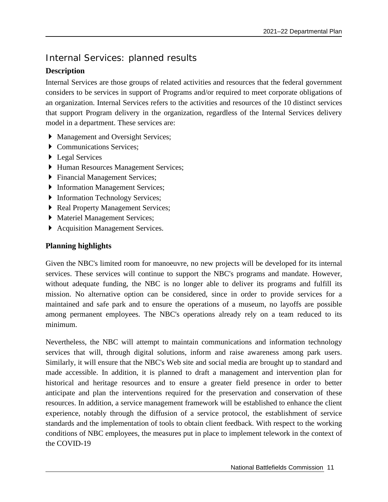# <span id="page-14-0"></span>Internal Services: planned results

## **Description**

Internal Services are those groups of related activities and resources that the federal government considers to be services in support of Programs and/or required to meet corporate obligations of an organization. Internal Services refers to the activities and resources of the 10 distinct services that support Program delivery in the organization, regardless of the Internal Services delivery model in a department. These services are:

- Management and Oversight Services;
- Communications Services;
- ▶ Legal Services
- Human Resources Management Services;
- Financial Management Services;
- **Information Management Services;**
- **Information Technology Services;**
- ▶ Real Property Management Services;
- $\triangleright$  Materiel Management Services;
- Acquisition Management Services.

## **Planning highlights**

Given the NBC's limited room for manoeuvre, no new projects will be developed for its internal services. These services will continue to support the NBC's programs and mandate. However, without adequate funding, the NBC is no longer able to deliver its programs and fulfill its mission. No alternative option can be considered, since in order to provide services for a maintained and safe park and to ensure the operations of a museum, no layoffs are possible among permanent employees. The NBC's operations already rely on a team reduced to its minimum.

Nevertheless, the NBC will attempt to maintain communications and information technology services that will, through digital solutions, inform and raise awareness among park users. Similarly, it will ensure that the NBC's Web site and social media are brought up to standard and made accessible. In addition, it is planned to draft a management and intervention plan for historical and heritage resources and to ensure a greater field presence in order to better anticipate and plan the interventions required for the preservation and conservation of these resources. In addition, a service management framework will be established to enhance the client experience, notably through the diffusion of a service protocol, the establishment of service standards and the implementation of tools to obtain client feedback. With respect to the working conditions of NBC employees, the measures put in place to implement telework in the context of the COVID-19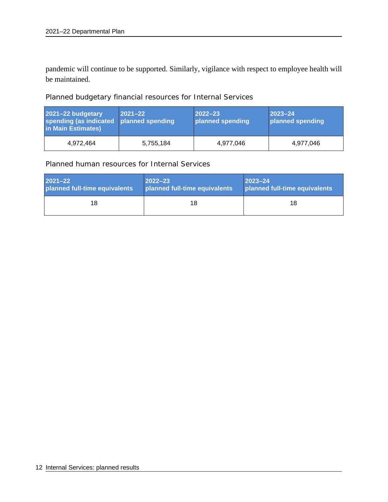pandemic will continue to be supported. Similarly, vigilance with respect to employee health will be maintained.

Planned budgetary financial resources for Internal Services

| 2021-22 budgetary<br>spending (as indicated   planned spending<br>in Main Estimates) | $ 2021 - 22 $ | $ 2022 - 23 $<br>planned spending | $ 2023 - 24$<br>planned spending |
|--------------------------------------------------------------------------------------|---------------|-----------------------------------|----------------------------------|
| 4,972,464                                                                            | 5,755,184     | 4,977,046                         | 4,977,046                        |

Planned human resources for Internal Services

| $2021 - 22$                   | $2022 - 23$                   | $2023 - 24$                   |
|-------------------------------|-------------------------------|-------------------------------|
| planned full-time equivalents | planned full-time equivalents | planned full-time equivalents |
| 18                            | 18                            | 18                            |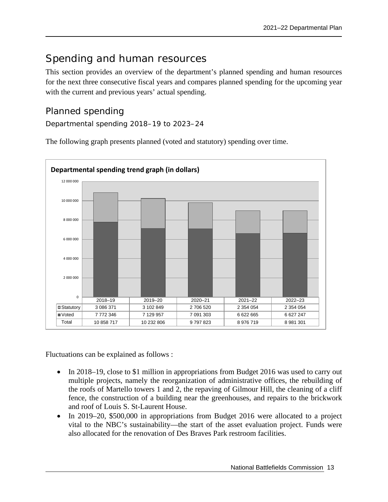# <span id="page-16-0"></span>Spending and human resources

This section provides an overview of the department's planned spending and human resources for the next three consecutive fiscal years and compares planned spending for the upcoming year with the current and previous years' actual spending.

# <span id="page-16-1"></span>Planned spending

Departmental spending 2018–19 to 2023–24

The following graph presents planned (voted and statutory) spending over time.



Fluctuations can be explained as follows :

- In 2018–19, close to \$1 million in appropriations from Budget 2016 was used to carry out multiple projects, namely the reorganization of administrative offices, the rebuilding of the roofs of Martello towers 1 and 2, the repaving of Gilmour Hill, the cleaning of a cliff fence, the construction of a building near the greenhouses, and repairs to the brickwork and roof of Louis S. St-Laurent House.
- In 2019–20, \$500,000 in appropriations from Budget 2016 were allocated to a project vital to the NBC's sustainability—the start of the asset evaluation project. Funds were also allocated for the renovation of Des Braves Park restroom facilities.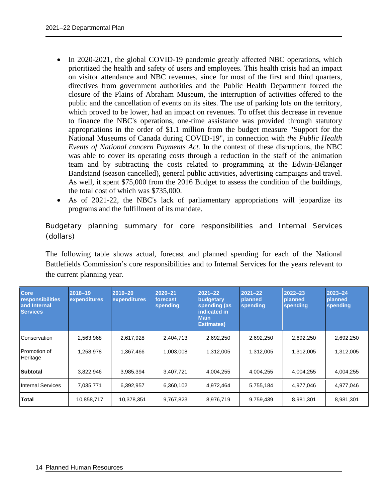- In 2020-2021, the global COVID-19 pandemic greatly affected NBC operations, which prioritized the health and safety of users and employees. This health crisis had an impact on visitor attendance and NBC revenues, since for most of the first and third quarters, directives from government authorities and the Public Health Department forced the closure of the Plains of Abraham Museum, the interruption of activities offered to the public and the cancellation of events on its sites. The use of parking lots on the territory, which proved to be lower, had an impact on revenues. To offset this decrease in revenue to finance the NBC's operations, one-time assistance was provided through statutory appropriations in the order of \$1.1 million from the budget measure "Support for the National Museums of Canada during COVID-19", in connection with *the Public Health Events of National concern Payments Act.* In the context of these disruptions, the NBC was able to cover its operating costs through a reduction in the staff of the animation team and by subtracting the costs related to programming at the Edwin-Bélanger Bandstand (season cancelled), general public activities, advertising campaigns and travel. As well, it spent \$75,000 from the 2016 Budget to assess the condition of the buildings, the total cost of which was \$735,000.
- As of 2021-22, the NBC's lack of parliamentary appropriations will jeopardize its programs and the fulfillment of its mandate.

Budgetary planning summary for core responsibilities and Internal Services (dollars)

The following table shows actual, forecast and planned spending for each of the National Battlefields Commission's core responsibilities and to Internal Services for the years relevant to the current planning year.

| <b>Core</b><br>responsibilities<br>and Internal<br><b>Services</b> | 2018-19<br>expenditures | $2019 - 20$<br>expenditures | $2020 - 21$<br>forecast<br>spending | $2021 - 22$<br>budgetary<br>spending (as<br>indicated in<br><b>Main</b><br><b>Estimates</b> ) | $2021 - 22$<br>planned<br>spending | $2022 - 23$<br>planned<br>spending | $2023 - 24$<br>planned<br>spending |
|--------------------------------------------------------------------|-------------------------|-----------------------------|-------------------------------------|-----------------------------------------------------------------------------------------------|------------------------------------|------------------------------------|------------------------------------|
| Conservation                                                       | 2,563,968               | 2,617,928                   | 2,404,713                           | 2,692,250                                                                                     | 2,692,250                          | 2,692,250                          | 2,692,250                          |
| Promotion of<br>Heritage                                           | 1,258,978               | 1,367,466                   | 1,003,008                           | 1,312,005                                                                                     | 1,312,005                          | 1,312,005                          | 1,312,005                          |
| <b>Subtotal</b>                                                    | 3.822.946               | 3.985.394                   | 3.407.721                           | 4.004.255                                                                                     | 4.004.255                          | 4.004.255                          | 4,004,255                          |
| <b>Internal Services</b>                                           | 7,035,771               | 6,392,957                   | 6,360,102                           | 4,972,464                                                                                     | 5,755,184                          | 4,977,046                          | 4,977,046                          |
| <b>Total</b>                                                       | 10,858,717              | 10,378,351                  | 9,767,823                           | 8,976,719                                                                                     | 9,759,439                          | 8,981,301                          | 8,981,301                          |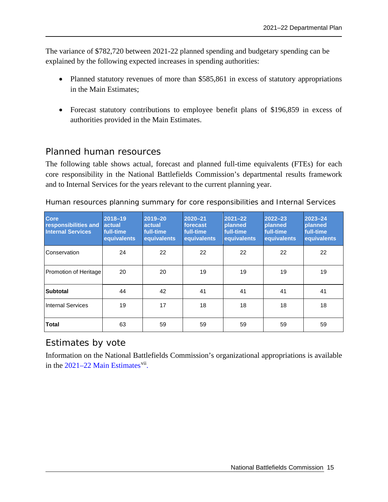The variance of \$782,720 between 2021-22 planned spending and budgetary spending can be explained by the following expected increases in spending authorities:

- Planned statutory revenues of more than \$585,861 in excess of statutory appropriations in the Main Estimates;
- Forecast statutory contributions to employee benefit plans of \$196,859 in excess of authorities provided in the Main Estimates.

## <span id="page-18-0"></span>Planned human resources

The following table shows actual, forecast and planned full-time equivalents (FTEs) for each core responsibility in the National Battlefields Commission's departmental results framework and to Internal Services for the years relevant to the current planning year.

Human resources planning summary for core responsibilities and Internal Services

| <b>Core</b><br>responsibilities and<br><b>Internal Services</b> | 2018-19<br><b>actual</b><br>full-time<br>equivalents | $2019 - 20$<br>actual<br>full-time<br>equivalents | $2020 - 21$<br>forecast<br>full-time<br>equivalents | $2021 - 22$<br>planned<br>full-time<br>equivalents | $2022 - 23$<br>planned<br>full-time<br>equivalents | $2023 - 24$<br>planned<br>full-time<br>equivalents |
|-----------------------------------------------------------------|------------------------------------------------------|---------------------------------------------------|-----------------------------------------------------|----------------------------------------------------|----------------------------------------------------|----------------------------------------------------|
| Conservation                                                    | 24                                                   | 22                                                | 22                                                  | 22                                                 | 22                                                 | 22                                                 |
| Promotion of Heritage                                           | 20                                                   | 20                                                | 19                                                  | 19                                                 | 19                                                 | 19                                                 |
| <b>Subtotal</b>                                                 | 44                                                   | 42                                                | 41                                                  | 41                                                 | 41                                                 | 41                                                 |
| <b>Internal Services</b>                                        | 19                                                   | 17                                                | 18                                                  | 18                                                 | 18                                                 | 18                                                 |
| <b>Total</b>                                                    | 63                                                   | 59                                                | 59                                                  | 59                                                 | 59                                                 | 59                                                 |

# <span id="page-18-1"></span>Estimates by vote

Information on the National Battlefields Commission's organizational appropriations is available in the  $2021-22$  Main Estimates<sup>[vii](#page-30-7)</sup>.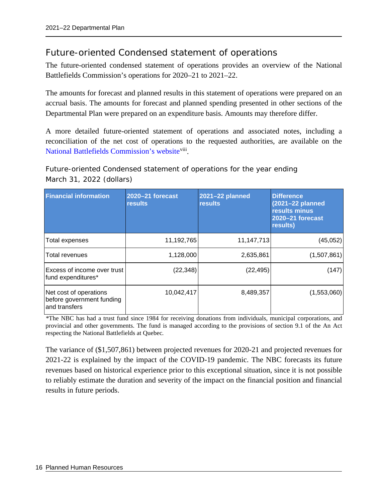# <span id="page-19-0"></span>Future-oriented Condensed statement of operations

The future-oriented condensed statement of operations provides an overview of the National Battlefields Commission's operations for 2020–21 to 2021–22.

The amounts for forecast and planned results in this statement of operations were prepared on an accrual basis. The amounts for forecast and planned spending presented in other sections of the Departmental Plan were prepared on an expenditure basis. Amounts may therefore differ.

A more detailed future-oriented statement of operations and associated notes, including a reconciliation of the net cost of operations to the requested authorities, are available on th[e](http://www.ccbn-nbc.gc.ca/en/) [National Battlefields Commission's](http://www.ccbn-nbc.gc.ca/en/) website<sup>[viii](#page-30-8)</sup>.

Future-oriented Condensed statement of operations for the year ending March 31, 2022 (dollars)

| <b>Financial information</b>                                         | 2020-21 forecast<br><b>results</b> | 2021-22 planned<br><b>results</b> | <b>Difference</b><br>(2021-22 planned<br>results minus<br>2020-21 forecast<br>results) |
|----------------------------------------------------------------------|------------------------------------|-----------------------------------|----------------------------------------------------------------------------------------|
| Total expenses                                                       | 11,192,765                         | 11,147,713                        | (45,052)                                                                               |
| Total revenues                                                       | 1,128,000                          | 2,635,861                         | (1,507,861)                                                                            |
| Excess of income over trust<br>fund expenditures*                    | (22, 348)                          | (22, 495)                         | (147)                                                                                  |
| Net cost of operations<br>before government funding<br>and transfers | 10,042,417                         | 8,489,357                         | (1,553,060)                                                                            |

*\**The NBC has had a trust fund since 1984 for receiving donations from individuals, municipal corporations, and provincial and other governments. The fund is managed according to the provisions of section 9.1 of the An Act respecting the National Battlefields at Quebec*.*

The variance of (\$1,507,861) between projected revenues for 2020-21 and projected revenues for 2021-22 is explained by the impact of the COVID-19 pandemic. The NBC forecasts its future revenues based on historical experience prior to this exceptional situation, since it is not possible to reliably estimate the duration and severity of the impact on the financial position and financial results in future periods.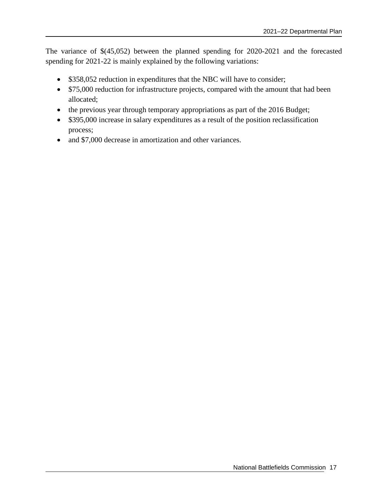The variance of \$(45,052) between the planned spending for 2020-2021 and the forecasted spending for 2021-22 is mainly explained by the following variations:

- \$358,052 reduction in expenditures that the NBC will have to consider;
- \$75,000 reduction for infrastructure projects, compared with the amount that had been allocated;
- the previous year through temporary appropriations as part of the 2016 Budget;
- \$395,000 increase in salary expenditures as a result of the position reclassification process;
- and \$7,000 decrease in amortization and other variances.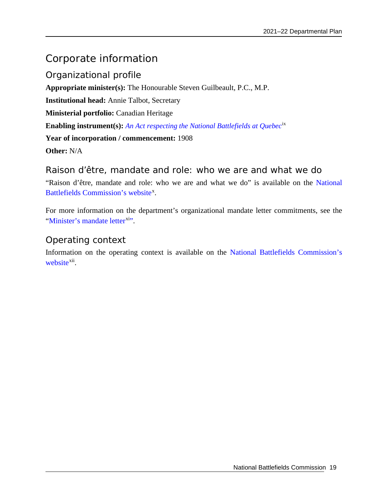# <span id="page-22-0"></span>Corporate information

<span id="page-22-1"></span>Organizational profile **Appropriate minister(s):** The Honourable Steven Guilbeault, P.C., M.P. **Institutional head:** Annie Talbot, Secretary **Ministerial portfolio:** Canadian Heritage **Enabling instrument(s):** *[An Act respecting the National Battlefields at Quebec](https://laws-lois.justice.gc.ca/eng/acts/N-3.4/)*[ix](#page-30-9) **Year of incorporation / commencement:** 1908 **Other:** N/A

## <span id="page-22-2"></span>Raison d'être, mandate and role: who we are and what we do

"Raison d'être, mandate and role: who we are and what we do" is available on the [National](http://www.ccbn-nbc.gc.ca/en/about-us/reports-and-policies/#departmental)  [Battlefields Commission's](http://www.ccbn-nbc.gc.ca/en/about-us/reports-and-policies/#departmental) website<sup>[x](#page-30-10)</sup>.

For more information on the department's organizational mandate letter commitments, see the ["Minister's mandate letter](https://pm.gc.ca/en/mandate-letters)<sup>xi</sup>".

# <span id="page-22-3"></span>Operating context

Information on the operating context is available on the [National Battlefields Commission's](http://www.ccbn-nbc.gc.ca/en/about-us/reports-and-policies/#departmental) [website](http://www.ccbn-nbc.gc.ca/en/about-us/reports-and-policies/#departmental)<sup>xii</sup>.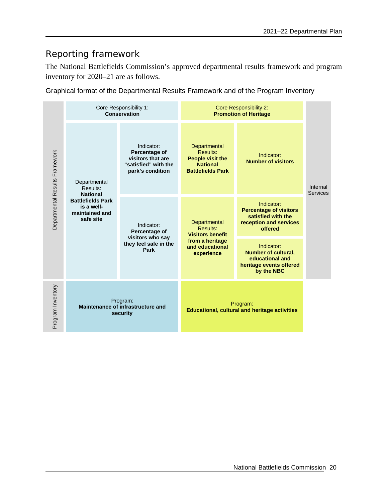# <span id="page-23-0"></span>Reporting framework

The National Battlefields Commission's approved departmental results framework and program inventory for 2020–21 are as follows.

Graphical format of the Departmental Results Framework and of the Program Inventory

| Departmental Results Framework | Core Responsibility 1:<br>Conservation                                                                               |                                                                                              | <b>Core Responsibility 2:</b><br><b>Promotion of Heritage</b>                                           |                                                                                                        |                             |
|--------------------------------|----------------------------------------------------------------------------------------------------------------------|----------------------------------------------------------------------------------------------|---------------------------------------------------------------------------------------------------------|--------------------------------------------------------------------------------------------------------|-----------------------------|
|                                | Departmental<br>Results:<br><b>National</b><br><b>Battlefields Park</b><br>is a well-<br>maintained and<br>safe site | Indicator:<br>Percentage of<br>visitors that are<br>"satisfied" with the<br>park's condition | Departmental<br>Results:<br><b>People visit the</b><br><b>National</b><br><b>Battlefields Park</b>      | Indicator:<br><b>Number of visitors</b>                                                                | Internal<br><b>Services</b> |
|                                |                                                                                                                      | Indicator:<br>Percentage of<br>visitors who say<br>they feel safe in the<br>Park             | Departmental<br>Results:<br><b>Visitors benefit</b><br>from a heritage<br>and educational<br>experience | Indicator:<br><b>Percentage of visitors</b><br>satisfied with the<br>reception and services<br>offered |                             |
|                                |                                                                                                                      |                                                                                              |                                                                                                         | Indicator:<br><b>Number of cultural,</b><br>educational and<br>heritage events offered<br>by the NBC   |                             |
| Program Inventory              | Program:<br>Maintenance of infrastructure and<br>security                                                            |                                                                                              | Program:<br><b>Educational, cultural and heritage activities</b>                                        |                                                                                                        |                             |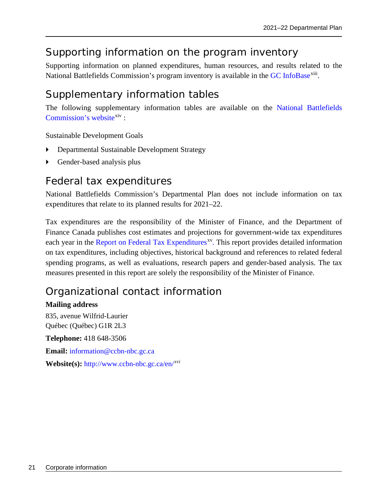# <span id="page-24-0"></span>Supporting information on the program inventory

Supporting information on planned expenditures, human resources, and results related to the National Battlefields Commission's program inventory is available in the [GC](https://www.tbs-sct.gc.ca/ems-sgd/edb-bdd/index-eng.html) [InfoBase](https://www.tbs-sct.gc.ca/ems-sgd/edb-bdd/index-eng.html)<sup>[xiii](#page-30-13)</sup>.

# <span id="page-24-1"></span>Supplementary information tables

The following supplementary information tables are available on the [National Battlefields](http://www.ccbn-nbc.gc.ca/en/about-us/reports-and-policies/#departmental)  [Commission's](http://www.ccbn-nbc.gc.ca/en/about-us/reports-and-policies/#departmental) website<sup>[xiv](#page-30-14)</sup>:

Sustainable Development Goals

- Departmental Sustainable Development Strategy
- Gender-based analysis plus

# <span id="page-24-2"></span>Federal tax expenditures

National Battlefields Commission's Departmental Plan does not include information on tax expenditures that relate to its planned results for 2021–22.

Tax expenditures are the responsibility of the Minister of Finance, and the Department of Finance Canada publishes cost estimates and projections for government-wide tax expenditures each year in the [Report on Federal Tax Expenditures](https://www.canada.ca/en/department-finance/services/publications/federal-tax-expenditures.html)<sup>xy</sup>. This report provides detailed information on tax expenditures, including objectives, historical background and references to related federal spending programs, as well as evaluations, research papers and gender-based analysis. The tax measures presented in this report are solely the responsibility of the Minister of Finance.

# <span id="page-24-3"></span>Organizational contact information

### **Mailing address**

835, avenue Wilfrid-Laurier Québec (Québec) G1R 2L3 **Telephone:** 418 648-3506 **Email:** [information@ccbn-nbc.gc.ca](mailto:information@ccbn-nbc.gc.ca) **Website(s):** <http://www.ccbn-nbc.gc.ca/en/>[xvi](#page-30-16)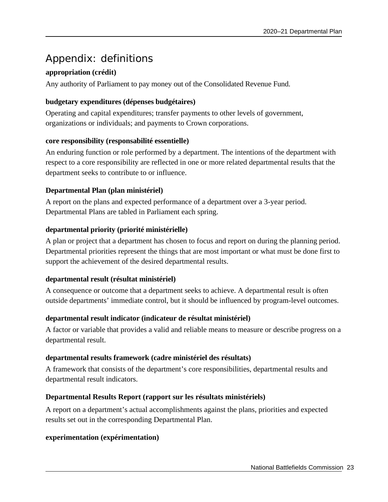# <span id="page-26-0"></span>Appendix: definitions

## **appropriation (crédit)**

Any authority of Parliament to pay money out of the Consolidated Revenue Fund.

### **budgetary expenditures (dépenses budgétaires)**

Operating and capital expenditures; transfer payments to other levels of government, organizations or individuals; and payments to Crown corporations.

### **core responsibility (responsabilité essentielle)**

An enduring function or role performed by a department. The intentions of the department with respect to a core responsibility are reflected in one or more related departmental results that the department seeks to contribute to or influence.

### **Departmental Plan (plan ministériel)**

A report on the plans and expected performance of a department over a 3-year period. Departmental Plans are tabled in Parliament each spring.

### **departmental priority (priorité ministérielle)**

A plan or project that a department has chosen to focus and report on during the planning period. Departmental priorities represent the things that are most important or what must be done first to support the achievement of the desired departmental results.

### **departmental result (résultat ministériel)**

A consequence or outcome that a department seeks to achieve. A departmental result is often outside departments' immediate control, but it should be influenced by program-level outcomes.

### **departmental result indicator (indicateur de résultat ministériel)**

A factor or variable that provides a valid and reliable means to measure or describe progress on a departmental result.

### **departmental results framework (cadre ministériel des résultats)**

A framework that consists of the department's core responsibilities, departmental results and departmental result indicators.

### **Departmental Results Report (rapport sur les résultats ministériels)**

A report on a department's actual accomplishments against the plans, priorities and expected results set out in the corresponding Departmental Plan.

### **experimentation (expérimentation)**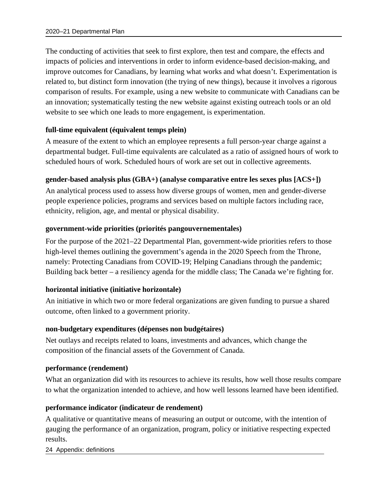The conducting of activities that seek to first explore, then test and compare, the effects and impacts of policies and interventions in order to inform evidence-based decision-making, and improve outcomes for Canadians, by learning what works and what doesn't. Experimentation is related to, but distinct form innovation (the trying of new things), because it involves a rigorous comparison of results. For example, using a new website to communicate with Canadians can be an innovation; systematically testing the new website against existing outreach tools or an old website to see which one leads to more engagement, is experimentation.

### **full-time equivalent (équivalent temps plein)**

A measure of the extent to which an employee represents a full person-year charge against a departmental budget. Full-time equivalents are calculated as a ratio of assigned hours of work to scheduled hours of work. Scheduled hours of work are set out in collective agreements.

### **gender-based analysis plus (GBA+) (analyse comparative entre les sexes plus [ACS+])**

An analytical process used to assess how diverse groups of women, men and gender-diverse people experience policies, programs and services based on multiple factors including race, ethnicity, religion, age, and mental or physical disability.

#### **government-wide priorities (priorités pangouvernementales)**

For the purpose of the 2021–22 Departmental Plan, government-wide priorities refers to those high-level themes outlining the government's agenda in the 2020 Speech from the Throne, namely: Protecting Canadians from COVID-19; Helping Canadians through the pandemic; Building back better – a resiliency agenda for the middle class; The Canada we're fighting for.

### **horizontal initiative (initiative horizontale)**

An initiative in which two or more federal organizations are given funding to pursue a shared outcome, often linked to a government priority.

### **non-budgetary expenditures (dépenses non budgétaires)**

Net outlays and receipts related to loans, investments and advances, which change the composition of the financial assets of the Government of Canada.

#### **performance (rendement)**

What an organization did with its resources to achieve its results, how well those results compare to what the organization intended to achieve, and how well lessons learned have been identified.

### **performance indicator (indicateur de rendement)**

A qualitative or quantitative means of measuring an output or outcome, with the intention of gauging the performance of an organization, program, policy or initiative respecting expected results.

24 Appendix: definitions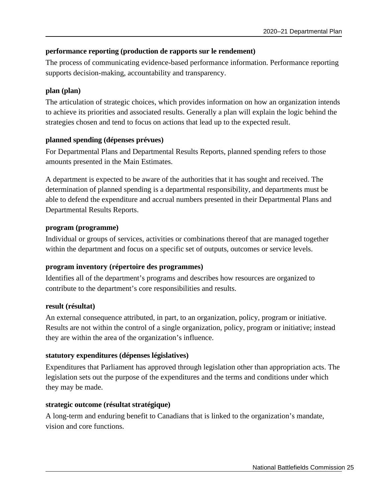### **performance reporting (production de rapports sur le rendement)**

The process of communicating evidence-based performance information. Performance reporting supports decision-making, accountability and transparency.

### **plan (plan)**

The articulation of strategic choices, which provides information on how an organization intends to achieve its priorities and associated results. Generally a plan will explain the logic behind the strategies chosen and tend to focus on actions that lead up to the expected result.

### **planned spending (dépenses prévues)**

For Departmental Plans and Departmental Results Reports, planned spending refers to those amounts presented in the Main Estimates.

A department is expected to be aware of the authorities that it has sought and received. The determination of planned spending is a departmental responsibility, and departments must be able to defend the expenditure and accrual numbers presented in their Departmental Plans and Departmental Results Reports.

### **program (programme)**

Individual or groups of services, activities or combinations thereof that are managed together within the department and focus on a specific set of outputs, outcomes or service levels.

### **program inventory (répertoire des programmes)**

Identifies all of the department's programs and describes how resources are organized to contribute to the department's core responsibilities and results.

### **result (résultat)**

An external consequence attributed, in part, to an organization, policy, program or initiative. Results are not within the control of a single organization, policy, program or initiative; instead they are within the area of the organization's influence.

### **statutory expenditures (dépenses législatives)**

Expenditures that Parliament has approved through legislation other than appropriation acts. The legislation sets out the purpose of the expenditures and the terms and conditions under which they may be made.

### **strategic outcome (résultat stratégique)**

A long-term and enduring benefit to Canadians that is linked to the organization's mandate, vision and core functions.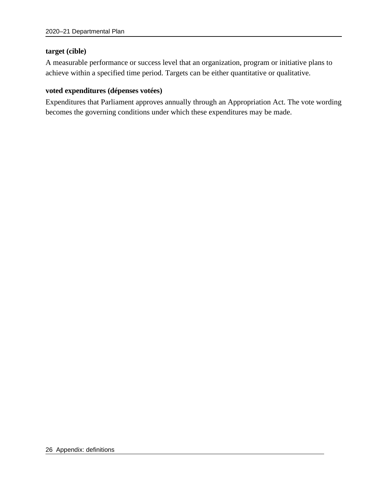#### **target (cible)**

A measurable performance or success level that an organization, program or initiative plans to achieve within a specified time period. Targets can be either quantitative or qualitative.

#### **voted expenditures (dépenses votées)**

Expenditures that Parliament approves annually through an Appropriation Act. The vote wording becomes the governing conditions under which these expenditures may be made.